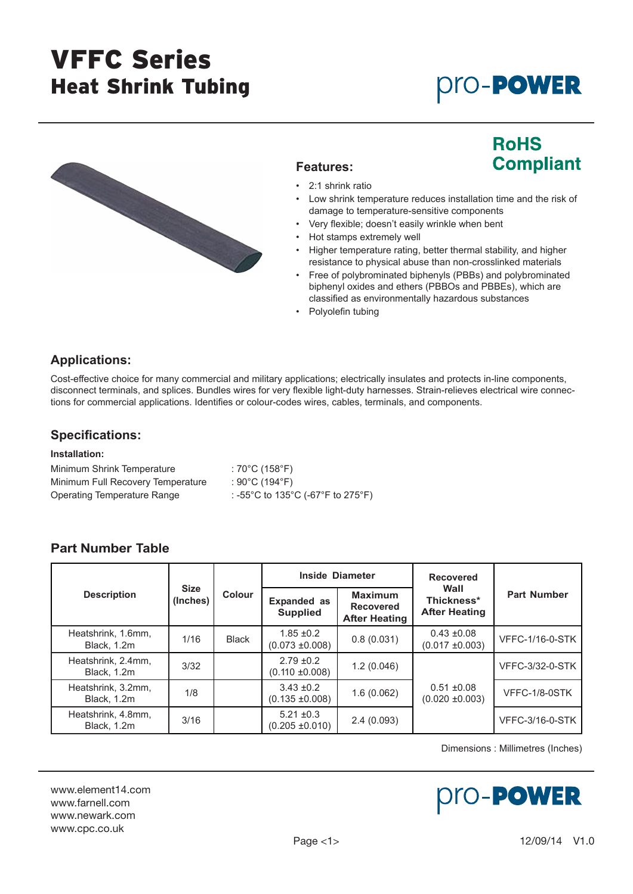# VFFC Series Heat Shrink Tubing

# **pro-PowER**



### **Features:**

# **RoHS Compliant**

- 2:1 shrink ratio
- Low shrink temperature reduces installation time and the risk of damage to temperature-sensitive components
- Very flexible; doesn't easily wrinkle when bent
- Hot stamps extremely well
- Higher temperature rating, better thermal stability, and higher resistance to physical abuse than non-crosslinked materials
- Free of polybrominated biphenyls (PBBs) and polybrominated biphenyl oxides and ethers (PBBOs and PBBEs), which are classified as environmentally hazardous substances
- Polyolefin tubing

### **Applications:**

Cost-effective choice for many commercial and military applications; electrically insulates and protects in-line components, disconnect terminals, and splices. Bundles wires for very flexible light-duty harnesses. Strain-relieves electrical wire connections for commercial applications. Identifies or colour-codes wires, cables, terminals, and components.

### **Specifications:**

#### **Installation:**

| Minimum Shrink Temperature        | : 70°C (158°F)                    |
|-----------------------------------|-----------------------------------|
| Minimum Full Recovery Temperature | : 90°C (194°F)                    |
| Operating Temperature Range       | : -55°C to 135°C (-67°F to 275°F) |

## **Part Number Table**

|                                   | <b>Size</b><br>(Inches) | <b>Colour</b> | <b>Inside Diameter</b>                |                                                            | <b>Recovered</b>                           |                        |
|-----------------------------------|-------------------------|---------------|---------------------------------------|------------------------------------------------------------|--------------------------------------------|------------------------|
| <b>Description</b>                |                         |               | <b>Expanded as</b><br><b>Supplied</b> | <b>Maximum</b><br><b>Recovered</b><br><b>After Heating</b> | Wall<br>Thickness*<br><b>After Heating</b> | <b>Part Number</b>     |
| Heatshrink, 1.6mm,<br>Black, 1.2m | 1/16                    | <b>Black</b>  | $1.85 \pm 0.2$<br>$(0.073 \pm 0.008)$ | 0.8(0.031)                                                 | $0.43 \pm 0.08$<br>$(0.017 \pm 0.003)$     | <b>VFFC-1/16-0-STK</b> |
| Heatshrink, 2.4mm,<br>Black, 1.2m | 3/32                    |               | $2.79 \pm 0.2$<br>$(0.110 \pm 0.008)$ | 1.2(0.046)                                                 |                                            | <b>VFFC-3/32-0-STK</b> |
| Heatshrink, 3.2mm,<br>Black, 1.2m | 1/8                     |               | $3.43 \pm 0.2$<br>$(0.135 \pm 0.008)$ | 1.6(0.062)                                                 | $0.51 \pm 0.08$<br>$(0.020 \pm 0.003)$     | VFFC-1/8-0STK          |
| Heatshrink, 4.8mm,<br>Black, 1.2m | 3/16                    |               | $5.21 \pm 0.3$<br>$(0.205 \pm 0.010)$ | 2.4(0.093)                                                 |                                            | <b>VFFC-3/16-0-STK</b> |

Dimensions : Millimetres (Inches)

#### www.element14.com www.farnell.com www.newark.com www.cpc.co.uk

# pro-Power